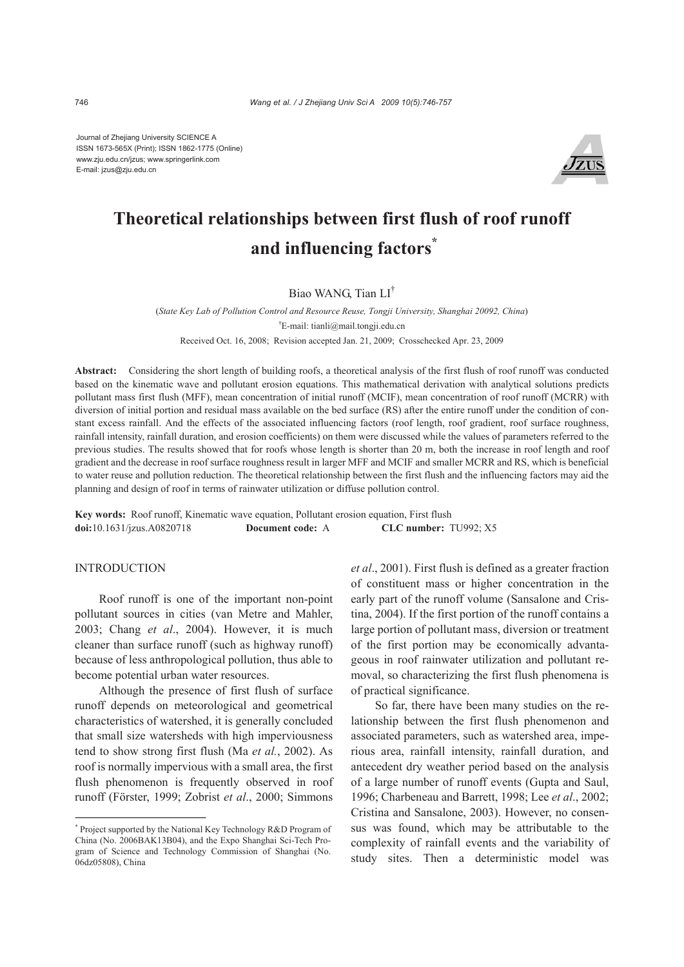Journal of Zhejiang University SCIENCE A ISSN 1673-565X (Print); ISSN 1862-1775 (Online) www.zju.edu.cn/jzus; www.springerlink.com E-mail: jzus@zju.edu.cn



# **Theoretical relationships between first flush of roof runoff and influencing factors\***

Biao WANG, Tian LI†

(*State Key Lab of Pollution Control and Resource Reuse, Tongji University, Shanghai 20092, China*) † E-mail: tianli@mail.tongji.edu.cn Received Oct. 16, 2008; Revision accepted Jan. 21, 2009; Crosschecked Apr. 23, 2009

**Abstract:** Considering the short length of building roofs, a theoretical analysis of the first flush of roof runoff was conducted based on the kinematic wave and pollutant erosion equations. This mathematical derivation with analytical solutions predicts pollutant mass first flush (MFF), mean concentration of initial runoff (MCIF), mean concentration of roof runoff (MCRR) with diversion of initial portion and residual mass available on the bed surface (RS) after the entire runoff under the condition of constant excess rainfall. And the effects of the associated influencing factors (roof length, roof gradient, roof surface roughness, rainfall intensity, rainfall duration, and erosion coefficients) on them were discussed while the values of parameters referred to the previous studies. The results showed that for roofs whose length is shorter than 20 m, both the increase in roof length and roof gradient and the decrease in roof surface roughness result in larger MFF and MCIF and smaller MCRR and RS, which is beneficial to water reuse and pollution reduction. The theoretical relationship between the first flush and the influencing factors may aid the planning and design of roof in terms of rainwater utilization or diffuse pollution control.

**Key words:** Roof runoff, Kinematic wave equation, Pollutant erosion equation, First flush **doi:**10.1631/jzus.A0820718 **Document code:** A **CLC number:** TU992; X5

#### INTRODUCTION

Roof runoff is one of the important non-point pollutant sources in cities (van Metre and Mahler, 2003; Chang *et al*., 2004). However, it is much cleaner than surface runoff (such as highway runoff) because of less anthropological pollution, thus able to become potential urban water resources.

Although the presence of first flush of surface runoff depends on meteorological and geometrical characteristics of watershed, it is generally concluded that small size watersheds with high imperviousness tend to show strong first flush (Ma *et al.*, 2002). As roof is normally impervious with a small area, the first flush phenomenon is frequently observed in roof runoff (Förster, 1999; Zobrist *et al*., 2000; Simmons

*et al*., 2001). First flush is defined as a greater fraction of constituent mass or higher concentration in the early part of the runoff volume (Sansalone and Cristina, 2004). If the first portion of the runoff contains a large portion of pollutant mass, diversion or treatment of the first portion may be economically advantageous in roof rainwater utilization and pollutant removal, so characterizing the first flush phenomena is of practical significance.

So far, there have been many studies on the relationship between the first flush phenomenon and associated parameters, such as watershed area, imperious area, rainfall intensity, rainfall duration, and antecedent dry weather period based on the analysis of a large number of runoff events (Gupta and Saul, 1996; Charbeneau and Barrett, 1998; Lee *et al*., 2002; Cristina and Sansalone, 2003). However, no consensus was found, which may be attributable to the complexity of rainfall events and the variability of study sites. Then a deterministic model was

<sup>\*</sup> Project supported by the National Key Technology R&D Program of China (No. 2006BAK13B04), and the Expo Shanghai Sci-Tech Program of Science and Technology Commission of Shanghai (No. 06dz05808), China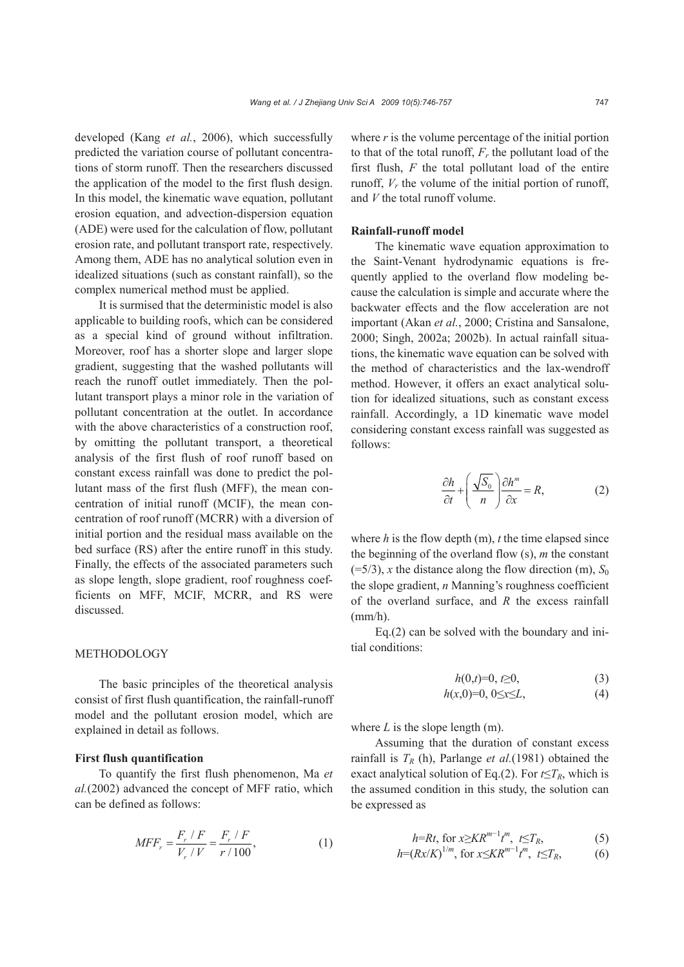developed (Kang *et al.*, 2006), which successfully predicted the variation course of pollutant concentrations of storm runoff. Then the researchers discussed the application of the model to the first flush design. In this model, the kinematic wave equation, pollutant erosion equation, and advection-dispersion equation (ADE) were used for the calculation of flow, pollutant erosion rate, and pollutant transport rate, respectively. Among them, ADE has no analytical solution even in idealized situations (such as constant rainfall), so the complex numerical method must be applied.

It is surmised that the deterministic model is also applicable to building roofs, which can be considered as a special kind of ground without infiltration. Moreover, roof has a shorter slope and larger slope gradient, suggesting that the washed pollutants will reach the runoff outlet immediately. Then the pollutant transport plays a minor role in the variation of pollutant concentration at the outlet. In accordance with the above characteristics of a construction roof, by omitting the pollutant transport, a theoretical analysis of the first flush of roof runoff based on constant excess rainfall was done to predict the pollutant mass of the first flush (MFF), the mean concentration of initial runoff (MCIF), the mean concentration of roof runoff (MCRR) with a diversion of initial portion and the residual mass available on the bed surface (RS) after the entire runoff in this study. Finally, the effects of the associated parameters such as slope length, slope gradient, roof roughness coefficients on MFF, MCIF, MCRR, and RS were discussed.

#### METHODOLOGY

The basic principles of the theoretical analysis consist of first flush quantification, the rainfall-runoff model and the pollutant erosion model, which are explained in detail as follows.

#### **First flush quantification**

To quantify the first flush phenomenon, Ma *et al.*(2002) advanced the concept of MFF ratio, which can be defined as follows:

$$
MFF_r = \frac{F_r / F}{V_r / V} = \frac{F_r / F}{r / 100},
$$
 (1)

where  $r$  is the volume percentage of the initial portion to that of the total runoff,  $F_r$  the pollutant load of the first flush, *F* the total pollutant load of the entire runoff,  $V_r$  the volume of the initial portion of runoff, and *V* the total runoff volume.

#### **Rainfall-runoff model**

The kinematic wave equation approximation to the Saint-Venant hydrodynamic equations is frequently applied to the overland flow modeling because the calculation is simple and accurate where the backwater effects and the flow acceleration are not important (Akan *et al.*, 2000; Cristina and Sansalone, 2000; Singh, 2002a; 2002b). In actual rainfall situations, the kinematic wave equation can be solved with the method of characteristics and the lax-wendroff method. However, it offers an exact analytical solution for idealized situations, such as constant excess rainfall. Accordingly, a 1D kinematic wave model considering constant excess rainfall was suggested as follows:

$$
\frac{\partial h}{\partial t} + \left(\frac{\sqrt{S_0}}{n}\right) \frac{\partial h^m}{\partial x} = R,\tag{2}
$$

where *h* is the flow depth (m), *t* the time elapsed since the beginning of the overland flow (s), *m* the constant  $(5/3)$ , *x* the distance along the flow direction (m), *S*<sub>0</sub> the slope gradient, *n* Manning's roughness coefficient of the overland surface, and *R* the excess rainfall  $(mm/h)$ .

Eq.(2) can be solved with the boundary and initial conditions:

$$
h(0,t)=0, t\geq 0,
$$
\n(3)

$$
h(x,0)=0, 0 \le x \le L,\tag{4}
$$

where *L* is the slope length (m).

Assuming that the duration of constant excess rainfall is  $T_R$  (h), Parlange *et al.*(1981) obtained the exact analytical solution of Eq.(2). For  $t \leq T_R$ , which is the assumed condition in this study, the solution can be expressed as

$$
h=Rt, \text{ for } x \geq KR^{m-1}t^m, \ t \leq T_R, \qquad (5)
$$

$$
h=(Rx/K)^{1/m}
$$
, for  $x\leq KR^{m-1}t^m$ ,  $t\leq T_R$ , (6)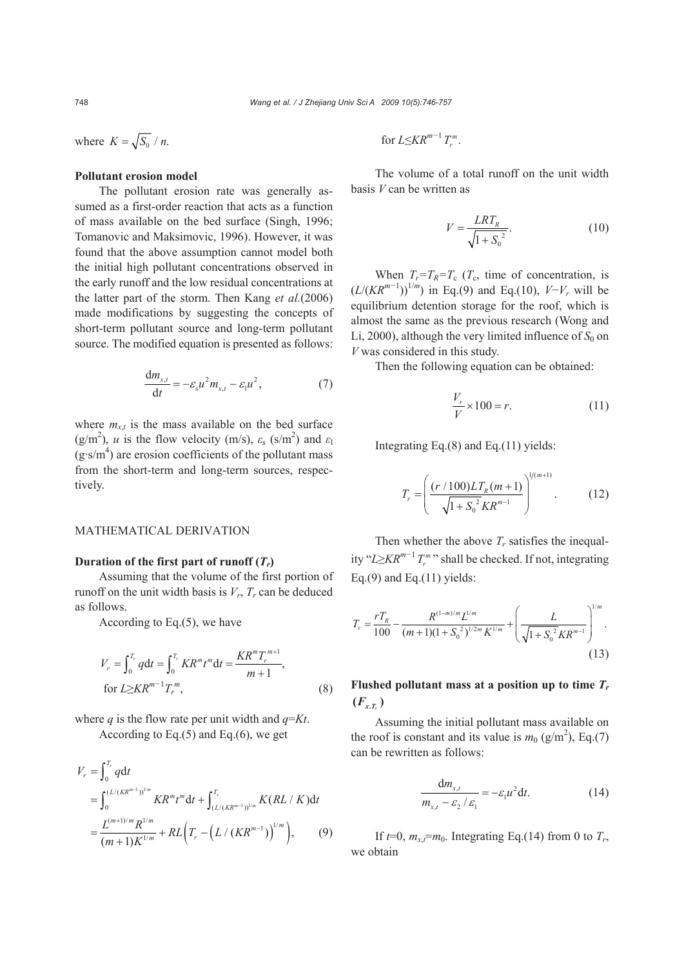where  $K = \sqrt{S_0}/n$ .

#### **Pollutant erosion model**

The pollutant erosion rate was generally assumed as a first-order reaction that acts as a function of mass available on the bed surface (Singh, 1996; Tomanovic and Maksimovic, 1996). However, it was found that the above assumption cannot model both the initial high pollutant concentrations observed in the early runoff and the low residual concentrations at the latter part of the storm. Then Kang *et al.*(2006) made modifications by suggesting the concepts of short-term pollutant source and long-term pollutant source. The modified equation is presented as follows:

$$
\frac{\mathrm{d}m_{x,t}}{\mathrm{d}t} = -\varepsilon_s u^2 m_{x,t} - \varepsilon_1 u^2, \tag{7}
$$

where  $m_{x,t}$  is the mass available on the bed surface (g/m<sup>2</sup>), *u* is the flow velocity (m/s),  $\varepsilon$ <sub>s</sub> (s/m<sup>2</sup>) and  $\varepsilon$ <sub>l</sub>  $(g·s/m<sup>4</sup>)$  are erosion coefficients of the pollutant mass from the short-term and long-term sources, respectively.

## MATHEMATICAL DERIVATION

#### **Duration of the first part of runoff**  $(T_r)$

Assuming that the volume of the first portion of runoff on the unit width basis is  $V_r$ ,  $T_r$  can be deduced as follows.

According to Eq.(5), we have

$$
V_r = \int_0^{T_r} q dt = \int_0^{T_r} K R^m t^m dt = \frac{K R^m T_r^{m+1}}{m+1},
$$
  
for  $L \ge K R^{m-1} T_r^m$ , (8)

where *q* is the flow rate per unit width and *q*=*Kt*.

According to Eq. $(5)$  and Eq. $(6)$ , we get

$$
V_r = \int_0^{T_r} q dt
$$
  
= 
$$
\int_0^{(L/(KR^{m-1}))^{1/m}} K R^m t^m dt + \int_{(L/(KR^{m-1}))^{1/m}}^{T_r} K(RL/K) dt
$$
  
= 
$$
\frac{L^{(m+1)/m} R^{1/m}}{(m+1)K^{1/m}} + R L(T_r - (L/(KR^{m-1}))^{1/m}), \qquad (9)
$$

for 
$$
L \leq KR^{m-1}T_r^m
$$
.

The volume of a total runoff on the unit width basis *V* can be written as

$$
V = \frac{LRT_R}{\sqrt{1 + S_0^2}}.\tag{10}
$$

When  $T_r = T_R = T_c$  ( $T_c$ , time of concentration, is  $(L/(KR^{m-1}))^{1/m}$  in Eq.(9) and Eq.(10), *V*−*V<sub>r</sub>* will be equilibrium detention storage for the roof, which is almost the same as the previous research (Wong and Li, 2000), although the very limited influence of  $S_0$  on *V* was considered in this study.

Then the following equation can be obtained:

$$
\frac{V_r}{V} \times 100 = r.
$$
 (11)

Integrating Eq.(8) and Eq.(11) yields:

$$
T_r = \left(\frac{(r/100)LT_R(m+1)}{\sqrt{1 + {S_0}^2}KR^{m-1}}\right)^{1/(m+1)}.\tag{12}
$$

Then whether the above  $T_r$  satisfies the inequality "*L*≥*KRm−*<sup>1</sup> *<sup>m</sup> Tr* " shall be checked. If not, integrating Eq.(9) and Eq.(11) yields:

$$
T_r = \frac{rT_R}{100} - \frac{R^{(1-m)/m} L^{1/m}}{(m+1)(1+S_0^2)^{1/2m} K^{1/m}} + \left(\frac{L}{\sqrt{1+S_0^2} K R^{m-1}}\right)^{1/m}.
$$
\n(13)

# **Flushed pollutant mass at a position up to time** *Tr*  $(F_{x T})$

Assuming the initial pollutant mass available on the roof is constant and its value is  $m_0$  (g/m<sup>2</sup>), Eq.(7) can be rewritten as follows:

$$
\frac{\mathrm{d}m_{x,t}}{m_{x,t} - \varepsilon_2/\varepsilon_1} = -\varepsilon_1 u^2 \mathrm{d}t. \tag{14}
$$

If  $t=0$ ,  $m_x$  $\bar{r}$ = $m_0$ . Integrating Eq.(14) from 0 to  $T_r$ , we obtain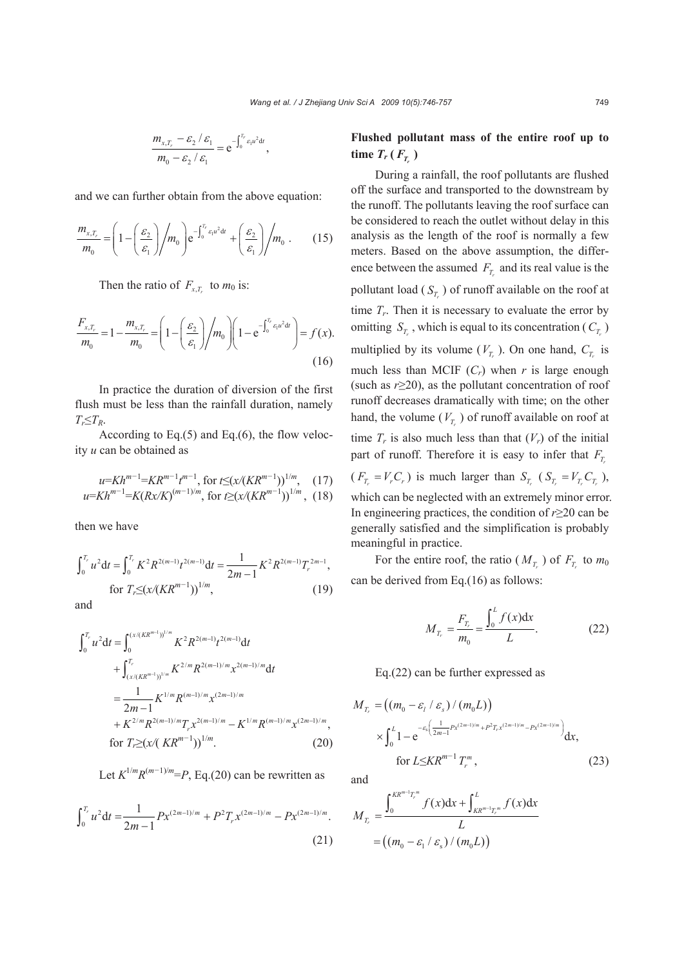$$
\frac{m_{x,T_r} - \varepsilon_2/\varepsilon_1}{m_0 - \varepsilon_2/\varepsilon_1} = e^{-\int_0^{T_r} \varepsilon_1 u^2 dt},
$$

and we can further obtain from the above equation:

$$
\frac{m_{x,T_r}}{m_0} = \left(1 - \left(\frac{\varepsilon_2}{\varepsilon_1}\right) / m_0\right) e^{-\int_0^{T_r} \varepsilon_1 u^2 dt} + \left(\frac{\varepsilon_2}{\varepsilon_1}\right) / m_0.
$$
 (15)

Then the ratio of  $F_{\rm x, T}$  to  $m_0$  is:

$$
\frac{F_{x,T_r}}{m_0} = 1 - \frac{m_{x,T_r}}{m_0} = \left(1 - \left(\frac{\varepsilon_2}{\varepsilon_1}\right) / m_0\right) \left(1 - e^{-\int_0^{T_r} \varepsilon_1 u^2 du}\right) = f(x).
$$
\n(16)

In practice the duration of diversion of the first flush must be less than the rainfall duration, namely  $T_r \leq T_R$ .

According to Eq. $(5)$  and Eq. $(6)$ , the flow velocity *u* can be obtained as

$$
u=Kh^{m-1}=KR^{m-1}t^{m-1}, \text{ for } t\leq (x/(KR^{m-1}))^{1/m}, \quad (17)
$$
  

$$
u=Kh^{m-1}=K(Rx/K)^{(m-1)/m}, \text{ for } t\geq (x/(KR^{m-1}))^{1/m}, \quad (18)
$$

then we have

$$
\int_0^{T_r} u^2 dt = \int_0^{T_r} K^2 R^{2(m-1)} t^{2(m-1)} dt = \frac{1}{2m-1} K^2 R^{2(m-1)} T_r^{2m-1},
$$
  
for  $T_r \le (x/(KR^{m-1}))^{1/m}$ , (19)

and

$$
\int_0^{T_r} u^2 dt = \int_0^{(x/(KR^{m-1}))^{1/m}} K^2 R^{2(m-1)} t^{2(m-1)} dt
$$
  
+ 
$$
\int_{(x/(KR^{m-1}))^{1/m}}^{T_r} K^{2/m} R^{2(m-1)/m} x^{2(m-1)/m} dt
$$
  
= 
$$
\frac{1}{2m-1} K^{1/m} R^{(m-1)/m} x^{(2m-1)/m}
$$
  
+ 
$$
K^{2/m} R^{2(m-1)/m} T_r x^{2(m-1)/m} - K^{1/m} R^{(m-1)/m} x^{(2m-1)/m},
$$
  
for 
$$
T_r \ge (x/(KR^{m-1}))^{1/m}.
$$
 (20)

Let  $K^{1/m}R^{(m-1)/m}$ =P, Eq.(20) can be rewritten as

$$
\int_0^{T_r} u^2 dt = \frac{1}{2m-1} P x^{(2m-1)/m} + P^2 T_r x^{(2m-1)/m} - P x^{(2m-1)/m}.
$$
\n(21)

# **Flushed pollutant mass of the entire roof up to**   $\textrm{time } T_r(F_T)$

During a rainfall, the roof pollutants are flushed off the surface and transported to the downstream by the runoff. The pollutants leaving the roof surface can be considered to reach the outlet without delay in this analysis as the length of the roof is normally a few meters. Based on the above assumption, the difference between the assumed  $F<sub>T<sub>i</sub></sub>$  and its real value is the pollutant load  $(S_{\tau})$  of runoff available on the roof at time  $T_r$ . Then it is necessary to evaluate the error by omitting  $S_{T_r}$ , which is equal to its concentration ( $C_{T_r}$ ) multiplied by its volume  $(V_{T_r})$ . On one hand,  $C_{T_r}$  is much less than MCIF  $(C_r)$  when *r* is large enough (such as *r*≥20), as the pollutant concentration of roof runoff decreases dramatically with time; on the other hand, the volume  $(V_T)$  of runoff available on roof at time  $T_r$  is also much less than that  $(V_r)$  of the initial part of runoff. Therefore it is easy to infer that  $F<sub>r</sub>$  $(F_T = V_r C_r)$  is much larger than  $S_T$   $(S_T = V_T C_T)$ , which can be neglected with an extremely minor error. In engineering practices, the condition of *r*≥20 can be generally satisfied and the simplification is probably meaningful in practice.

For the entire roof, the ratio ( $M_T$ ) of  $F_T$  to  $m_0$ can be derived from Eq.(16) as follows:

$$
M_{T_r} = \frac{F_{T_r}}{m_0} = \frac{\int_0^L f(x) \, \mathrm{d}x}{L}.
$$
 (22)

Eq.(22) can be further expressed as

$$
M_{T_r} = ((m_0 - \varepsilon_l / \varepsilon_s) / (m_0 L))
$$
  
 
$$
\times \int_0^L 1 - e^{-\varepsilon_s \left( \frac{1}{2m-1} P_X^{(2m-1)/m} + P^2 T_r x^{(2m-1)/m} - P_X^{(2m-1)/m} \right)} dx,
$$
  
for  $L \leq K R^{m-1} T_r^m$ , (23)

and

$$
M_{T_r} = \frac{\int_0^{K R^{m-1} T_r^m} f(x) dx + \int_{K R^{m-1} T_r^m}^L f(x) dx}{L}
$$
  
=  $((m_0 - \varepsilon_1 / \varepsilon_s) / (m_0 L))$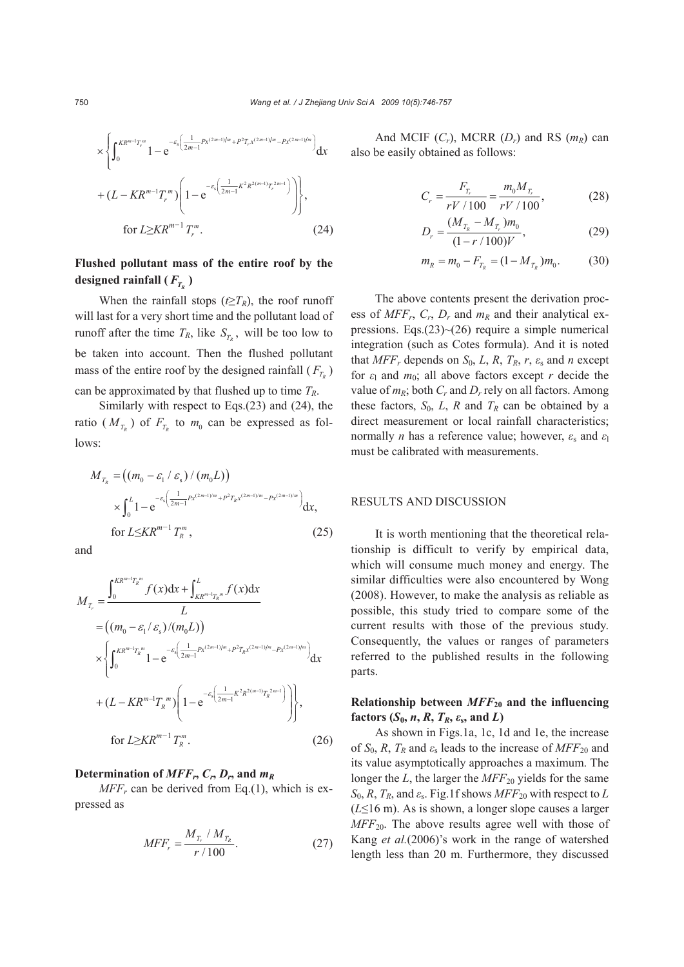$$
\times \left\{ \int_0^{KR^{m-1}T_r^m} 1 - e^{-\varepsilon_s \left( \frac{1}{2m-1} P_X^{(2m-1)/m} + P^2 T_r X^{(2m-1)/m} - P_X^{(2m-1)/m} \right)} dx \right\}
$$
  
+  $(L - KR^{m-1}T_r^m) \left( 1 - e^{-\varepsilon_s \left( \frac{1}{2m-1} K^2 R^{2(m-1)} T_r^{2m-1} \right)} \right) \right\},$   
for  $L \geq KR^{m-1}T_r^m$ . (24)

# **Flushed pollutant mass of the entire roof by the**  designed rainfall  $(F_{T_p})$

When the rainfall stops  $(t \geq T_R)$ , the roof runoff will last for a very short time and the pollutant load of runoff after the time  $T_R$ , like  $S_{T_R}$ , will be too low to be taken into account. Then the flushed pollutant mass of the entire roof by the designed rainfall ( $F<sub>r<sub>r</sub></sub>$ ) can be approximated by that flushed up to time *TR*.

Similarly with respect to Eqs.(23) and (24), the ratio  $(M_{T_n})$  of  $F_{T_n}$  to  $m_0$  can be expressed as follows:

$$
M_{T_R} = ((m_0 - \varepsilon_1 / \varepsilon_s) / (m_0 L))
$$
  
 
$$
\times \int_0^L 1 - e^{-\varepsilon_s \left( \frac{1}{2m-1} P_X^{(2m-1)/m} + P^2 T_R x^{(2m-1)/m} - P_X^{(2m-1)/m} \right)} dx,
$$
  
for  $L \leq K R^{m-1} T_R^m$ , (25)

and

$$
M_{T_r} = \frac{\int_0^{K R^{m-1} T_R^m} f(x) dx + \int_{K R^{m-1} T_R^m}^L f(x) dx}{L}
$$
  
\n
$$
= ((m_0 - \varepsilon_1 / \varepsilon_s) / (m_0 L))
$$
  
\n
$$
\times \left\{ \int_0^{K R^{m-1} T_R^m} 1 - e^{-\varepsilon_s \left( \frac{1}{2m-1} P_X^{(2m-1)/m} + P^2 T_R X^{(2m-1)/m} - P_X^{(2m-1)/m} \right)} dx + (L - K R^{m-1} T_R^m) \left( 1 - e^{-\varepsilon_s \left( \frac{1}{2m-1} K^2 R^{2(m-1)} T_R^{2m-1} \right)} \right) \right\},
$$
  
\nfor  $L \ge K R^{m-1} T_R^m$ . (26)

## Determination of  $MFF_r$ ,  $C_r$ ,  $D_r$ , and  $m_R$

 $MFF_r$  can be derived from Eq.(1), which is expressed as

$$
MFF_r = \frac{M_{T_r} / M_{T_R}}{r / 100}.
$$
 (27)

And MCIF  $(C_r)$ , MCRR  $(D_r)$  and RS  $(m_R)$  can also be easily obtained as follows:

$$
C_r = \frac{F_{T_r}}{rV/100} = \frac{m_0 M_{T_r}}{rV/100},\tag{28}
$$

$$
D_r = \frac{(M_{T_R} - M_{T_r})m_0}{(1 - r / 100)V},
$$
\n(29)

$$
m_R = m_0 - F_{T_R} = (1 - M_{T_R})m_0.
$$
 (30)

The above contents present the derivation process of  $MFF_r$ ,  $C_r$ ,  $D_r$  and  $m_R$  and their analytical expressions. Eqs. $(23)$   $\sim$   $(26)$  require a simple numerical integration (such as Cotes formula). And it is noted that  $MFF_r$  depends on  $S_0$ , L, R,  $T_R$ , r,  $\varepsilon_s$  and *n* except for  $\varepsilon_1$  and  $m_0$ ; all above factors except *r* decide the value of  $m_R$ ; both  $C_r$  and  $D_r$  rely on all factors. Among these factors,  $S_0$ ,  $L$ ,  $R$  and  $T_R$  can be obtained by a direct measurement or local rainfall characteristics; normally *n* has a reference value; however, *ε*s and *ε*<sup>l</sup> must be calibrated with measurements.

#### RESULTS AND DISCUSSION

It is worth mentioning that the theoretical relationship is difficult to verify by empirical data, which will consume much money and energy. The similar difficulties were also encountered by Wong (2008). However, to make the analysis as reliable as possible, this study tried to compare some of the current results with those of the previous study. Consequently, the values or ranges of parameters referred to the published results in the following parts.

## **Relationship between** *MFF***20 and the influencing factors**  $(S_0, n, R, T_R, \varepsilon_s, \text{ and } L)$

As shown in Figs.1a, 1c, 1d and 1e, the increase of  $S_0$ ,  $R$ ,  $T_R$  and  $\varepsilon_s$  leads to the increase of  $MFF_{20}$  and its value asymptotically approaches a maximum. The longer the *L*, the larger the *MFF*<sub>20</sub> yields for the same  $S_0$ , *R*,  $T_R$ , and  $\varepsilon_s$ . Fig.1f shows *MFF*<sub>20</sub> with respect to *L* (*L*≤16 m). As is shown, a longer slope causes a larger  $MFF_{20}$ . The above results agree well with those of Kang *et al.*(2006)'s work in the range of watershed length less than 20 m. Furthermore, they discussed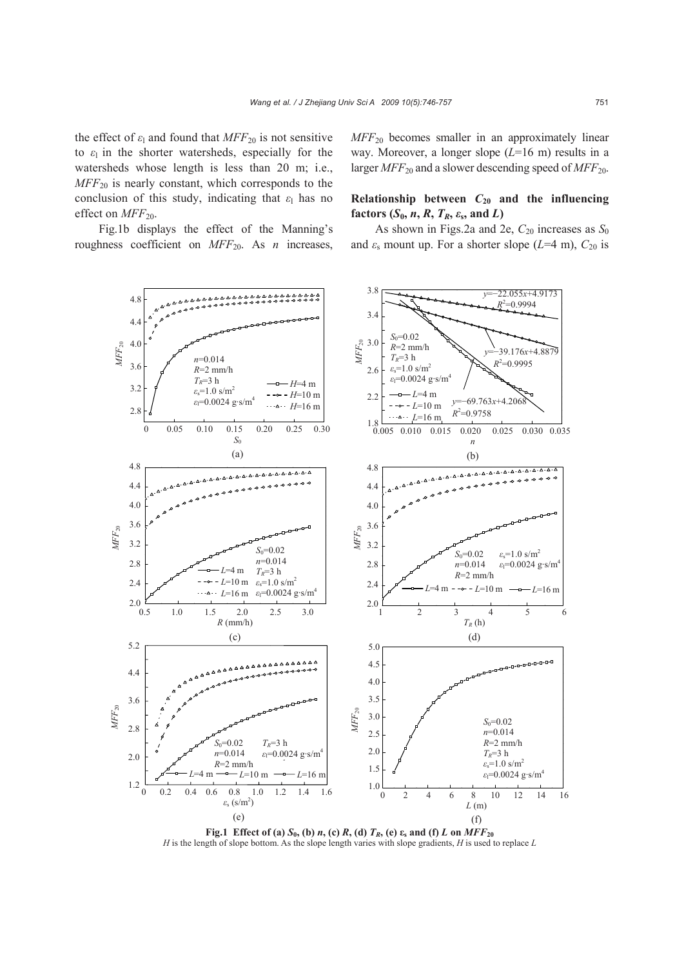the effect of  $\varepsilon_1$  and found that  $MFF_{20}$  is not sensitive to  $\varepsilon_1$  in the shorter watersheds, especially for the watersheds whose length is less than 20 m; i.e.,  $MFF_{20}$  is nearly constant, which corresponds to the conclusion of this study, indicating that  $\varepsilon_1$  has no effect on  $MFF_{20}$ .

Fig.1b displays the effect of the Manning's roughness coefficient on  $MFF_{20}$ . As *n* increases, *MFF*<sub>20</sub> becomes smaller in an approximately linear way. Moreover, a longer slope (*L*=16 m) results in a larger  $MFF_{20}$  and a slower descending speed of  $MFF_{20}$ .

# **Relationship between**  $C_{20}$  and the influencing **factors**  $(S_0, n, R, T_R, \varepsilon_s, \text{ and } L)$

As shown in Figs.2a and 2e,  $C_{20}$  increases as  $S_0$ and  $\varepsilon_s$  mount up. For a shorter slope ( $L=4$  m),  $C_{20}$  is



*H* is the length of slope bottom. As the slope length varies with slope gradients, *H* is used to replace *L*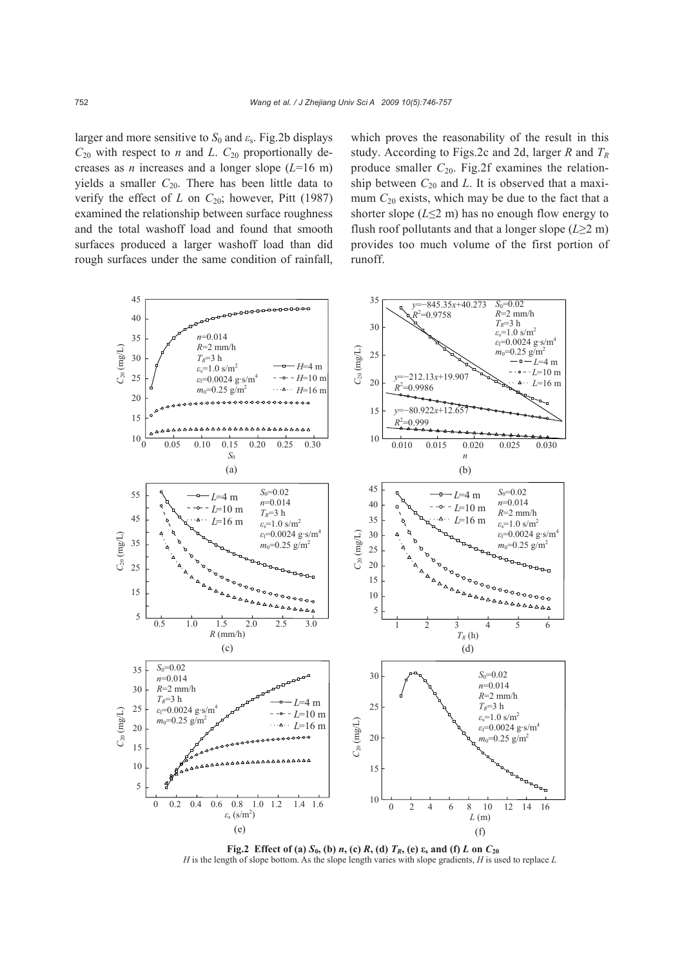larger and more sensitive to  $S_0$  and  $\varepsilon_s$ . Fig.2b displays  $C_{20}$  with respect to *n* and *L*.  $C_{20}$  proportionally decreases as *n* increases and a longer slope (*L*=16 m) yields a smaller  $C_{20}$ . There has been little data to verify the effect of  $L$  on  $C_{20}$ ; however, Pitt (1987) examined the relationship between surface roughness and the total washoff load and found that smooth surfaces produced a larger washoff load than did rough surfaces under the same condition of rainfall, which proves the reasonability of the result in this study. According to Figs.2c and 2d, larger *R* and *TR* produce smaller  $C_{20}$ . Fig.2f examines the relationship between  $C_{20}$  and  $L$ . It is observed that a maximum  $C_{20}$  exists, which may be due to the fact that a shorter slope  $(L \leq 2$  m) has no enough flow energy to flush roof pollutants and that a longer slope  $(L \geq 2 \text{ m})$ provides too much volume of the first portion of runoff.



**Fig.2** Effect of (a)  $S_0$ , (b) *n*, (c) *R*, (d)  $T_R$ , (e)  $\varepsilon_s$  and (f) *L* on  $C_{20}$ *H* is the length of slope bottom. As the slope length varies with slope gradients, *H* is used to replace *L*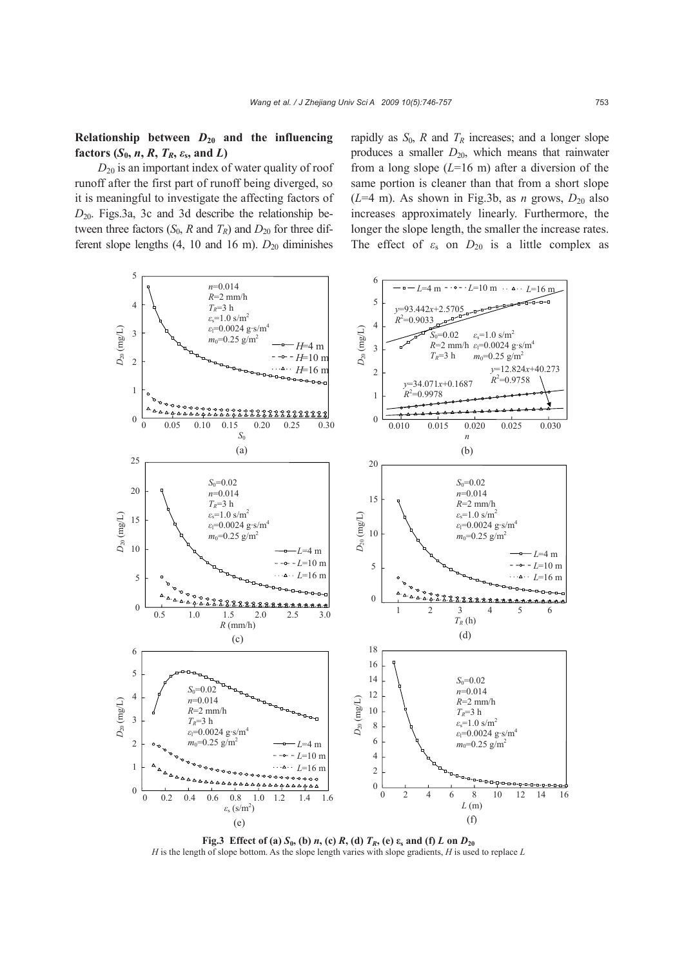# **Relationship between**  $D_{20}$  **and the influencing factors**  $(S_0, n, R, T_R, \varepsilon_s, \text{ and } L)$

*D*20 is an important index of water quality of roof runoff after the first part of runoff being diverged, so it is meaningful to investigate the affecting factors of  $D_{20}$ . Figs.3a, 3c and 3d describe the relationship between three factors  $(S_0, R \text{ and } T_R)$  and  $D_{20}$  for three different slope lengths  $(4, 10$  and  $16$  m).  $D_{20}$  diminishes

rapidly as  $S_0$ ,  $R$  and  $T_R$  increases; and a longer slope produces a smaller  $D_{20}$ , which means that rainwater from a long slope (*L*=16 m) after a diversion of the same portion is cleaner than that from a short slope  $(L=4 \text{ m})$ . As shown in Fig.3b, as *n* grows,  $D_{20}$  also increases approximately linearly. Furthermore, the longer the slope length, the smaller the increase rates. The effect of  $\varepsilon_s$  on  $D_{20}$  is a little complex as



**Fig.3** Effect of (a)  $S_0$ , (b) *n*, (c) *R*, (d)  $T_R$ , (e)  $\varepsilon_s$  and (f) *L* on  $D_{20}$ *H* is the length of slope bottom. As the slope length varies with slope gradients, *H* is used to replace *L*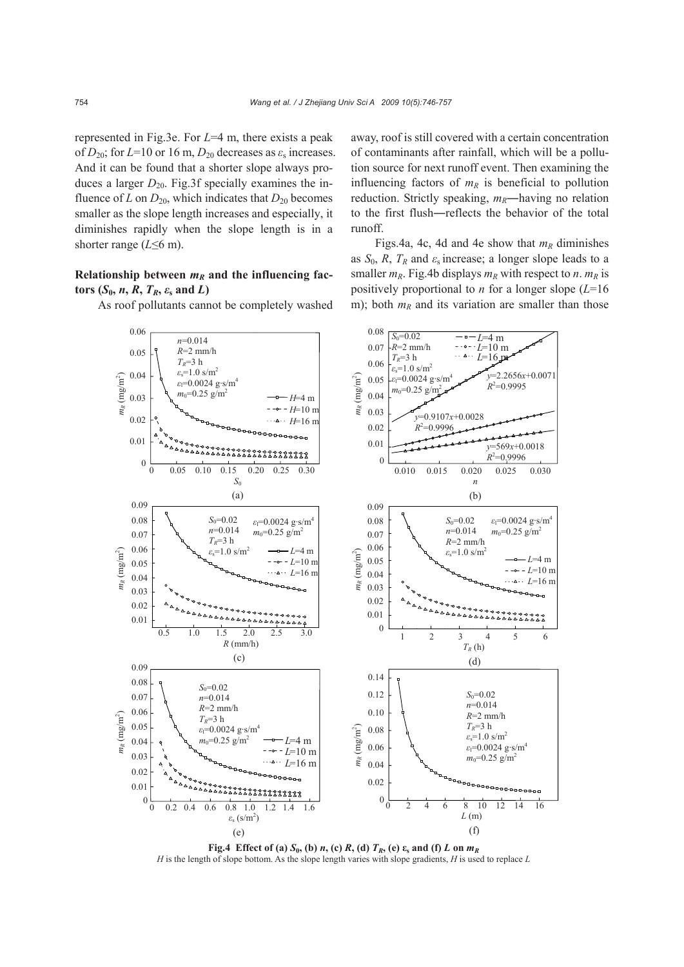represented in Fig.3e. For *L*=4 m, there exists a peak of  $D_{20}$ ; for  $L=10$  or 16 m,  $D_{20}$  decreases as  $\varepsilon_s$  increases. And it can be found that a shorter slope always produces a larger  $D_{20}$ . Fig.3f specially examines the influence of *L* on  $D_{20}$ , which indicates that  $D_{20}$  becomes smaller as the slope length increases and especially, it diminishes rapidly when the slope length is in a shorter range (*L*≤6 m).

## Relationship between  $m_R$  and the influencing fac- $\mathbf{t}$  **tors**  $(S_0, n, R, T_R, \varepsilon_s \text{ and } L)$

As roof pollutants cannot be completely washed

away, roof is still covered with a certain concentration of contaminants after rainfall, which will be a pollution source for next runoff event. Then examining the influencing factors of  $m_R$  is beneficial to pollution reduction. Strictly speaking,  $m_R$ —having no relation to the first flush―reflects the behavior of the total runoff.

Figs.4a, 4c, 4d and 4e show that  $m_R$  diminishes as  $S_0$ ,  $R$ ,  $T_R$  and  $\varepsilon_s$  increase; a longer slope leads to a smaller  $m_R$ . Fig.4b displays  $m_R$  with respect to *n*.  $m_R$  is positively proportional to *n* for a longer slope (*L*=16 m); both  $m_R$  and its variation are smaller than those



**Fig.4** Effect of (a)  $S_0$ , (b)  $n$ , (c)  $R$ , (d)  $T_R$ , (e)  $\varepsilon_s$  and (f)  $L$  on  $m_R$ *H* is the length of slope bottom. As the slope length varies with slope gradients, *H* is used to replace *L*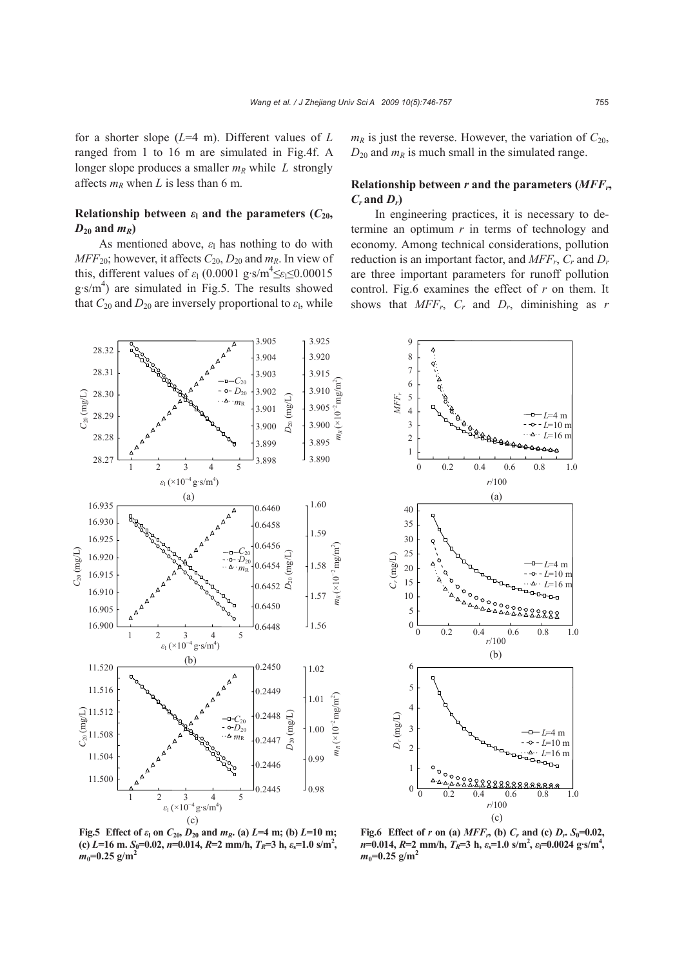for a shorter slope (*L*=4 m). Different values of *L* ranged from 1 to 16 m are simulated in Fig.4f. A longer slope produces a smaller  $m_R$  while  $L$  strongly affects  $m_R$  when *L* is less than 6 m.

# **Relationship between**  $\varepsilon_1$  and the parameters ( $C_{20}$ ,  $D_{20}$  and  $m_R$ )

As mentioned above, *ε*l has nothing to do with  $MFF_{20}$ ; however, it affects  $C_{20}$ ,  $D_{20}$  and  $m_R$ . In view of this, different values of  $\varepsilon_1$  (0.0001 g·s/m<sup>4</sup> ≤ $\varepsilon_1$  ≤0.00015  $g·s/m<sup>4</sup>$ ) are simulated in Fig.5. The results showed that  $C_{20}$  and  $D_{20}$  are inversely proportional to  $\varepsilon_1$ , while

 $m_R$  is just the reverse. However, the variation of  $C_{20}$ ,  $D_{20}$  and  $m_R$  is much small in the simulated range.

## **Relationship between** *r* **and the parameters (***MFFr***,**   $C_r$  and  $D_r$

In engineering practices, it is necessary to determine an optimum *r* in terms of technology and economy. Among technical considerations, pollution reduction is an important factor, and *MFFr*, *Cr* and *Dr* are three important parameters for runoff pollution control. Fig.6 examines the effect of *r* on them. It shows that  $MFF_r$ ,  $C_r$  and  $D_r$ , diminishing as  $r$ 



**Fig.6** Effect of *r* on (a)  $MFF_r$ , (b)  $C_r$  and (c)  $D_r$ ,  $S_0=0.02$ ,  $n=0.014$ ,  $R=2$  mm/h,  $T_R=3$  h,  $\varepsilon_s=1.0$  s/m<sup>2</sup>,  $\varepsilon_l=0.0024$  g·s/m<sup>4</sup>,  $m_0$ =0.25 g/m<sup>2</sup>

**Fig.5** Effect of  $\varepsilon_1$  on  $C_{20}$ ,  $D_{20}$  and  $m_R$ . (a)  $L=4$  m; (b)  $L=10$  m;  $f(c)$   $L=16$  m.  $S_0=0.02$ ,  $n=0.014$ ,  $R=2$  mm/h,  $T_R=3$  h,  $\varepsilon_s=1.0$  s/m<sup>2</sup>,  $m_0$ =0.25 g/m

*L*=4 m *L*=10 m *L*=16 m

*L*=4 m *L*=10 m  $I=16 \text{ m}$ 

00000028

 *L*=4 m  *L*=10 m *L*=16 m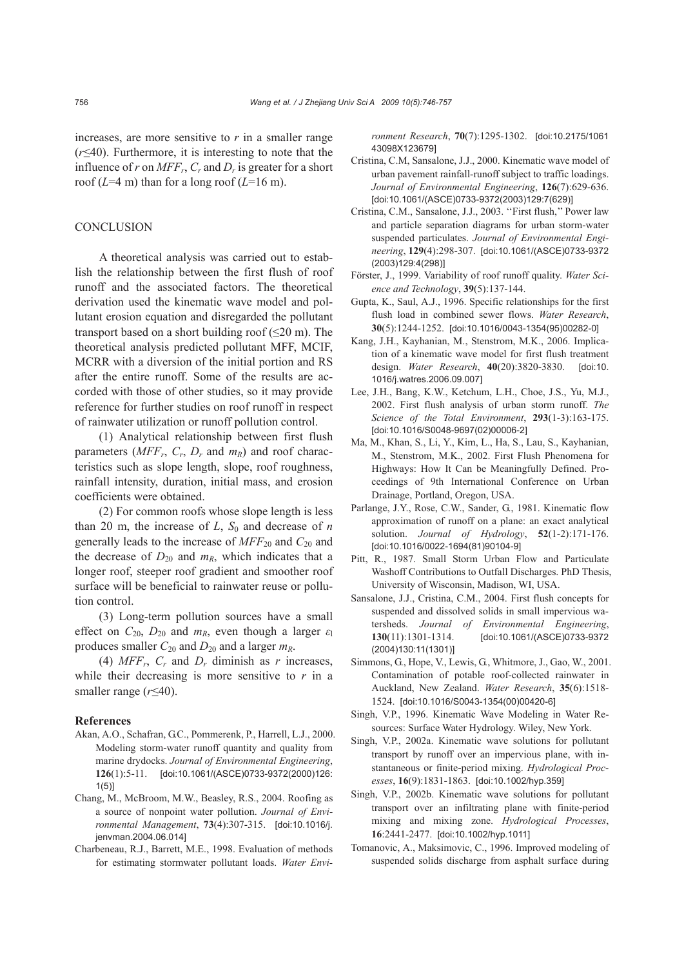increases, are more sensitive to *r* in a smaller range (*r*≤40). Furthermore, it is interesting to note that the influence of *r* on  $MFF_r$ ,  $C_r$  and  $D_r$  is greater for a short roof  $(L=4 \text{ m})$  than for a long roof  $(L=16 \text{ m})$ .

#### **CONCLUSION**

A theoretical analysis was carried out to establish the relationship between the first flush of roof runoff and the associated factors. The theoretical derivation used the kinematic wave model and pollutant erosion equation and disregarded the pollutant transport based on a short building roof  $(\leq 20 \text{ m})$ . The theoretical analysis predicted pollutant MFF, MCIF, MCRR with a diversion of the initial portion and RS after the entire runoff. Some of the results are accorded with those of other studies, so it may provide reference for further studies on roof runoff in respect of rainwater utilization or runoff pollution control.

(1) Analytical relationship between first flush parameters (MFF<sub>r</sub>, C<sub>r</sub>, D<sub>r</sub> and  $m_R$ ) and roof characteristics such as slope length, slope, roof roughness, rainfall intensity, duration, initial mass, and erosion coefficients were obtained.

 (2) For common roofs whose slope length is less than 20 m, the increase of  $L$ ,  $S_0$  and decrease of  $n$ generally leads to the increase of *MFF*20 and *C*20 and the decrease of  $D_{20}$  and  $m_R$ , which indicates that a longer roof, steeper roof gradient and smoother roof surface will be beneficial to rainwater reuse or pollution control.

 (3) Long-term pollution sources have a small effect on  $C_{20}$ ,  $D_{20}$  and  $m_R$ , even though a larger  $\varepsilon_1$ produces smaller  $C_{20}$  and  $D_{20}$  and a larger  $m_R$ .

(4)  $MFF_r$ ,  $C_r$  and  $D_r$  diminish as *r* increases, while their decreasing is more sensitive to *r* in a smaller range (*r*≤40).

#### **References**

- Akan, A.O., Schafran, G.C., Pommerenk, P., Harrell, L.J., 2000. Modeling storm-water runoff quantity and quality from marine drydocks. *Journal of Environmental Engineering*, **126**(1):5-11. [doi:10.1061/(ASCE)0733-9372(2000)126: 1(5)]
- Chang, M., McBroom, M.W., Beasley, R.S., 2004. Roofing as a source of nonpoint water pollution. *Journal of Environmental Management*, **73**(4):307-315. [doi:10.1016/j. jenvman.2004.06.014]
- Charbeneau, R.J., Barrett, M.E., 1998. Evaluation of methods for estimating stormwater pollutant loads. *Water Envi-*

*ronment Research*, **70**(7):1295-1302. [doi:10.2175/1061 43098X123679]

- Cristina, C.M, Sansalone, J.J., 2000. Kinematic wave model of urban pavement rainfall-runoff subject to traffic loadings. *Journal of Environmental Engineering*, **126**(7):629-636. [doi:10.1061/(ASCE)0733-9372(2003)129:7(629)]
- Cristina, C.M., Sansalone, J.J., 2003. ''First flush,'' Power law and particle separation diagrams for urban storm-water suspended particulates. *Journal of Environmental Engineering*, **129**(4):298-307. [doi:10.1061/(ASCE)0733-9372 (2003)129:4(298)]
- Förster, J., 1999. Variability of roof runoff quality. *Water Science and Technology*, **39**(5):137-144.
- Gupta, K., Saul, A.J., 1996. Specific relationships for the first flush load in combined sewer flows. *Water Research*, **30**(5):1244-1252. [doi:10.1016/0043-1354(95)00282-0]
- Kang, J.H., Kayhanian, M., Stenstrom, M.K., 2006. Implication of a kinematic wave model for first flush treatment design. *Water Research*, **40**(20):3820-3830. [doi:10. 1016/j.watres.2006.09.007]
- Lee, J.H., Bang, K.W., Ketchum, L.H., Choe, J.S., Yu, M.J., 2002. First flush analysis of urban storm runoff. *The Science of the Total Environment*, **293**(1-3):163-175. [doi:10.1016/S0048-9697(02)00006-2]
- Ma, M., Khan, S., Li, Y., Kim, L., Ha, S., Lau, S., Kayhanian, M., Stenstrom, M.K., 2002. First Flush Phenomena for Highways: How It Can be Meaningfully Defined. Proceedings of 9th International Conference on Urban Drainage, Portland, Oregon, USA.
- Parlange, J.Y., Rose, C.W., Sander, G., 1981. Kinematic flow approximation of runoff on a plane: an exact analytical solution. *Journal of Hydrology*, **52**(1-2):171-176. [doi:10.1016/0022-1694(81)90104-9]
- Pitt, R., 1987. Small Storm Urban Flow and Particulate Washoff Contributions to Outfall Discharges. PhD Thesis, University of Wisconsin, Madison, WI, USA.
- Sansalone, J.J., Cristina, C.M., 2004. First flush concepts for suspended and dissolved solids in small impervious watersheds. *Journal of Environmental Engineering*, **130**(11):1301-1314. [doi:10.1061/(ASCE)0733-9372 (2004)130:11(1301)]
- Simmons, G., Hope, V., Lewis, G., Whitmore, J., Gao, W., 2001. Contamination of potable roof-collected rainwater in Auckland, New Zealand. *Water Research*, **35**(6):1518- 1524. [doi:10.1016/S0043-1354(00)00420-6]
- Singh, V.P., 1996. Kinematic Wave Modeling in Water Resources: Surface Water Hydrology. Wiley, New York.
- Singh, V.P., 2002a. Kinematic wave solutions for pollutant transport by runoff over an impervious plane, with instantaneous or finite-period mixing. *Hydrological Processes*, **16**(9):1831-1863. [doi:10.1002/hyp.359]
- Singh, V.P., 2002b. Kinematic wave solutions for pollutant transport over an infiltrating plane with finite-period mixing and mixing zone. *Hydrological Processes*, **16**:2441-2477. [doi:10.1002/hyp.1011]
- Tomanovic, A., Maksimovic, C., 1996. Improved modeling of suspended solids discharge from asphalt surface during